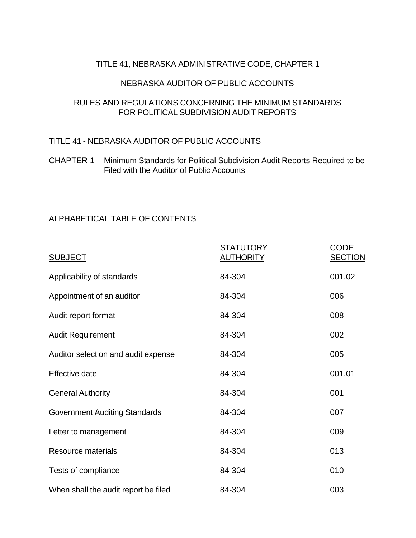## TITLE 41, NEBRASKA ADMINISTRATIVE CODE, CHAPTER 1

#### NEBRASKA AUDITOR OF PUBLIC ACCOUNTS

## RULES AND REGULATIONS CONCERNING THE MINIMUM STANDARDS FOR POLITICAL SUBDIVISION AUDIT REPORTS

## TITLE 41 - NEBRASKA AUDITOR OF PUBLIC ACCOUNTS

## CHAPTER 1 – Minimum Standards for Political Subdivision Audit Reports Required to be Filed with the Auditor of Public Accounts

# ALPHABETICAL TABLE OF CONTENTS

| <b>SUBJECT</b>                       | <b>STATUTORY</b><br><b>AUTHORITY</b> | <b>CODE</b><br><b>SECTION</b> |
|--------------------------------------|--------------------------------------|-------------------------------|
| Applicability of standards           | 84-304                               | 001.02                        |
| Appointment of an auditor            | 84-304                               | 006                           |
| Audit report format                  | 84-304                               | 008                           |
| <b>Audit Requirement</b>             | 84-304                               | 002                           |
| Auditor selection and audit expense  | 84-304                               | 005                           |
| Effective date                       | 84-304                               | 001.01                        |
| <b>General Authority</b>             | 84-304                               | 001                           |
| <b>Government Auditing Standards</b> | 84-304                               | 007                           |
| Letter to management                 | 84-304                               | 009                           |
| Resource materials                   | 84-304                               | 013                           |
| Tests of compliance                  | 84-304                               | 010                           |
| When shall the audit report be filed | 84-304                               | 003                           |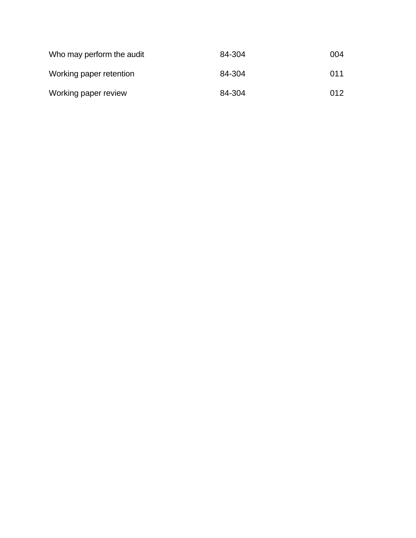| Who may perform the audit | 84-304 | 004 |
|---------------------------|--------|-----|
| Working paper retention   | 84-304 | 011 |
| Working paper review      | 84-304 | 012 |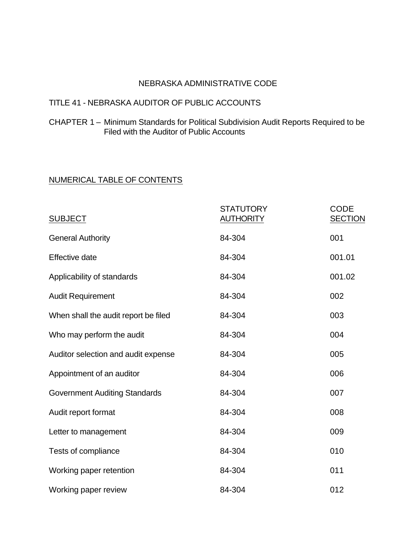#### NEBRASKA ADMINISTRATIVE CODE

# TITLE 41 - NEBRASKA AUDITOR OF PUBLIC ACCOUNTS

CHAPTER 1 – Minimum Standards for Political Subdivision Audit Reports Required to be Filed with the Auditor of Public Accounts

# NUMERICAL TABLE OF CONTENTS

| <b>SUBJECT</b>                       | <b>STATUTORY</b><br><b>AUTHORITY</b> | <b>CODE</b><br><b>SECTION</b> |
|--------------------------------------|--------------------------------------|-------------------------------|
| <b>General Authority</b>             | 84-304                               | 001                           |
| <b>Effective date</b>                | 84-304                               | 001.01                        |
| Applicability of standards           | 84-304                               | 001.02                        |
| <b>Audit Requirement</b>             | 84-304                               | 002                           |
| When shall the audit report be filed | 84-304                               | 003                           |
| Who may perform the audit            | 84-304                               | 004                           |
| Auditor selection and audit expense  | 84-304                               | 005                           |
| Appointment of an auditor            | 84-304                               | 006                           |
| <b>Government Auditing Standards</b> | 84-304                               | 007                           |
| Audit report format                  | 84-304                               | 008                           |
| Letter to management                 | 84-304                               | 009                           |
| Tests of compliance                  | 84-304                               | 010                           |
| Working paper retention              | 84-304                               | 011                           |
| Working paper review                 | 84-304                               | 012                           |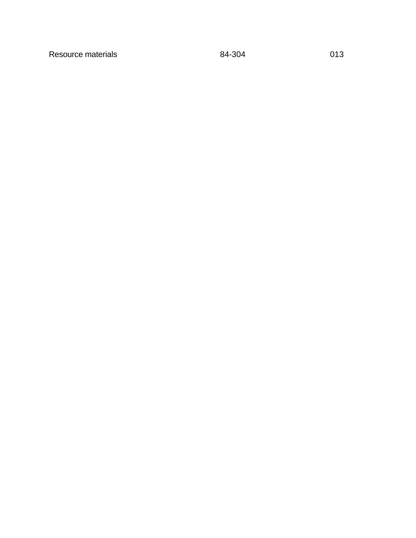Resource materials and the set of the 84-304 contract of the 84-304 contract of the 84-304 contract of the 84-304 contract of the 84-304 contract of the 84-304 contract of the 84-304 contract of the 84-304 contract of the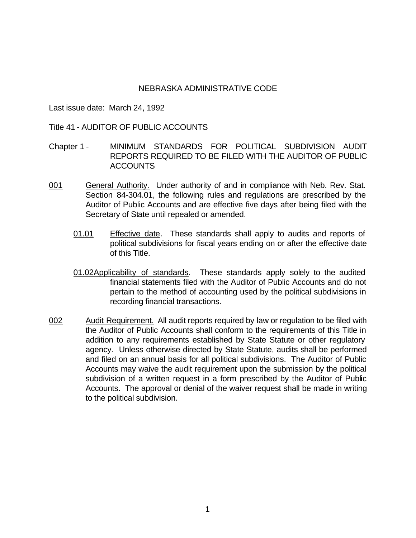#### NEBRASKA ADMINISTRATIVE CODE

Last issue date: March 24, 1992

#### Title 41 - AUDITOR OF PUBLIC ACCOUNTS

- Chapter 1 MINIMUM STANDARDS FOR POLITICAL SUBDIVISION AUDIT REPORTS REQUIRED TO BE FILED WITH THE AUDITOR OF PUBLIC ACCOUNTS
- 001 General Authority. Under authority of and in compliance with Neb. Rev. Stat. Section 84-304.01, the following rules and regulations are prescribed by the Auditor of Public Accounts and are effective five days after being filed with the Secretary of State until repealed or amended.
	- 01.01 Effective date. These standards shall apply to audits and reports of political subdivisions for fiscal years ending on or after the effective date of this Title.
	- 01.02Applicability of standards. These standards apply solely to the audited financial statements filed with the Auditor of Public Accounts and do not pertain to the method of accounting used by the political subdivisions in recording financial transactions.
- 002 Audit Requirement. All audit reports required by law or regulation to be filed with the Auditor of Public Accounts shall conform to the requirements of this Title in addition to any requirements established by State Statute or other regulatory agency. Unless otherwise directed by State Statute, audits shall be performed and filed on an annual basis for all political subdivisions. The Auditor of Public Accounts may waive the audit requirement upon the submission by the political subdivision of a written request in a form prescribed by the Auditor of Public Accounts. The approval or denial of the waiver request shall be made in writing to the political subdivision.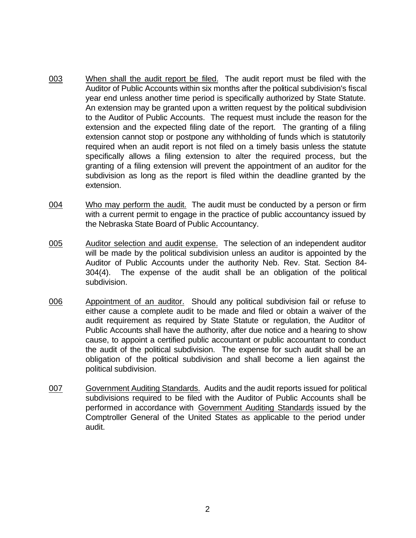- 003 When shall the audit report be filed. The audit report must be filed with the Auditor of Public Accounts within six months after the political subdivision's fiscal year end unless another time period is specifically authorized by State Statute. An extension may be granted upon a written request by the political subdivision to the Auditor of Public Accounts. The request must include the reason for the extension and the expected filing date of the report. The granting of a filing extension cannot stop or postpone any withholding of funds which is statutorily required when an audit report is not filed on a timely basis unless the statute specifically allows a filing extension to alter the required process, but the granting of a filing extension will prevent the appointment of an auditor for the subdivision as long as the report is filed within the deadline granted by the extension.
- 004 Who may perform the audit. The audit must be conducted by a person or firm with a current permit to engage in the practice of public accountancy issued by the Nebraska State Board of Public Accountancy.
- 005 Auditor selection and audit expense. The selection of an independent auditor will be made by the political subdivision unless an auditor is appointed by the Auditor of Public Accounts under the authority Neb. Rev. Stat. Section 84- 304(4). The expense of the audit shall be an obligation of the political subdivision.
- 006 Appointment of an auditor. Should any political subdivision fail or refuse to either cause a complete audit to be made and filed or obtain a waiver of the audit requirement as required by State Statute or regulation, the Auditor of Public Accounts shall have the authority, after due notice and a hearing to show cause, to appoint a certified public accountant or public accountant to conduct the audit of the political subdivision. The expense for such audit shall be an obligation of the political subdivision and shall become a lien against the political subdivision.
- 007 Government Auditing Standards. Audits and the audit reports issued for political subdivisions required to be filed with the Auditor of Public Accounts shall be performed in accordance with Government Auditing Standards issued by the Comptroller General of the United States as applicable to the period under audit.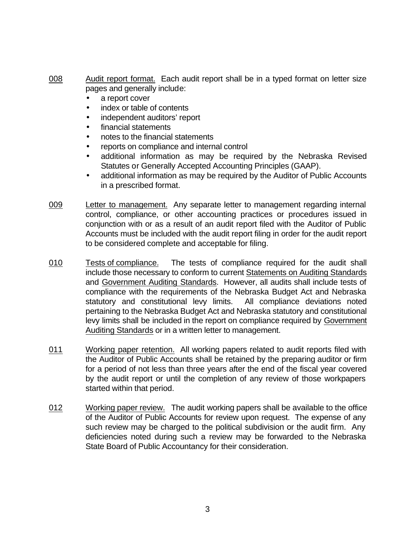- 008 Audit report format. Each audit report shall be in a typed format on letter size pages and generally include:
	- a report cover
	- index or table of contents
	- independent auditors' report
	- financial statements
	- notes to the financial statements
	- reports on compliance and internal control
	- additional information as may be required by the Nebraska Revised Statutes or Generally Accepted Accounting Principles (GAAP).
	- additional information as may be required by the Auditor of Public Accounts in a prescribed format.
- 009 Letter to management. Any separate letter to management regarding internal control, compliance, or other accounting practices or procedures issued in conjunction with or as a result of an audit report filed with the Auditor of Public Accounts must be included with the audit report filing in order for the audit report to be considered complete and acceptable for filing.
- 010 Tests of compliance. The tests of compliance required for the audit shall include those necessary to conform to current Statements on Auditing Standards and Government Auditing Standards. However, all audits shall include tests of compliance with the requirements of the Nebraska Budget Act and Nebraska statutory and constitutional levy limits. All compliance deviations noted pertaining to the Nebraska Budget Act and Nebraska statutory and constitutional levy limits shall be included in the report on compliance required by Government Auditing Standards or in a written letter to management.
- 011 Working paper retention. All working papers related to audit reports filed with the Auditor of Public Accounts shall be retained by the preparing auditor or firm for a period of not less than three years after the end of the fiscal year covered by the audit report or until the completion of any review of those workpapers started within that period.
- 012 Working paper review. The audit working papers shall be available to the office of the Auditor of Public Accounts for review upon request. The expense of any such review may be charged to the political subdivision or the audit firm. Any deficiencies noted during such a review may be forwarded to the Nebraska State Board of Public Accountancy for their consideration.